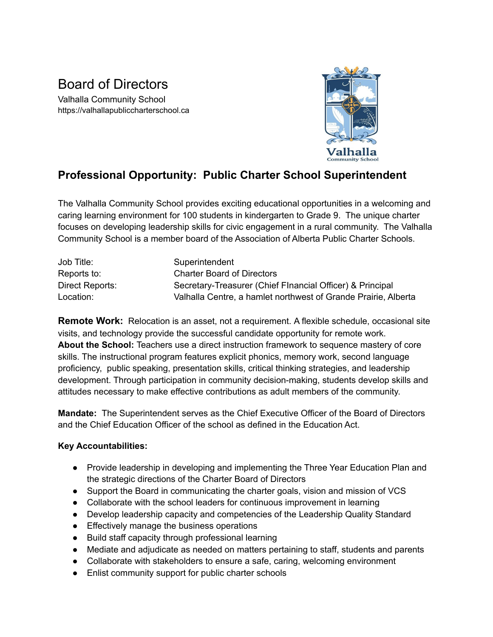## Board of Directors

Valhalla Community School https://valhallapubliccharterschool.ca



## **Professional Opportunity: Public Charter School Superintendent**

The Valhalla Community School provides exciting educational opportunities in a welcoming and caring learning environment for 100 students in kindergarten to Grade 9. The unique charter focuses on developing leadership skills for civic engagement in a rural community. The Valhalla Community School is a member board of the Association of Alberta Public Charter Schools.

| Job Title:      | Superintendent                                                 |
|-----------------|----------------------------------------------------------------|
| Reports to:     | <b>Charter Board of Directors</b>                              |
| Direct Reports: | Secretary-Treasurer (Chief Flnancial Officer) & Principal      |
| Location:       | Valhalla Centre, a hamlet northwest of Grande Prairie, Alberta |

**Remote Work:** Relocation is an asset, not a requirement. A flexible schedule, occasional site visits, and technology provide the successful candidate opportunity for remote work. **About the School:** Teachers use a direct instruction framework to sequence mastery of core skills. The instructional program features explicit phonics, memory work, second language proficiency, public speaking, presentation skills, critical thinking strategies, and leadership development. Through participation in community decision-making, students develop skills and attitudes necessary to make effective contributions as adult members of the community.

**Mandate:** The Superintendent serves as the Chief Executive Officer of the Board of Directors and the Chief Education Officer of the school as defined in the Education Act.

## **Key Accountabilities:**

- Provide leadership in developing and implementing the Three Year Education Plan and the strategic directions of the Charter Board of Directors
- Support the Board in communicating the charter goals, vision and mission of VCS
- Collaborate with the school leaders for continuous improvement in learning
- Develop leadership capacity and competencies of the Leadership Quality Standard
- Effectively manage the business operations
- Build staff capacity through professional learning
- Mediate and adjudicate as needed on matters pertaining to staff, students and parents
- Collaborate with stakeholders to ensure a safe, caring, welcoming environment
- Enlist community support for public charter schools